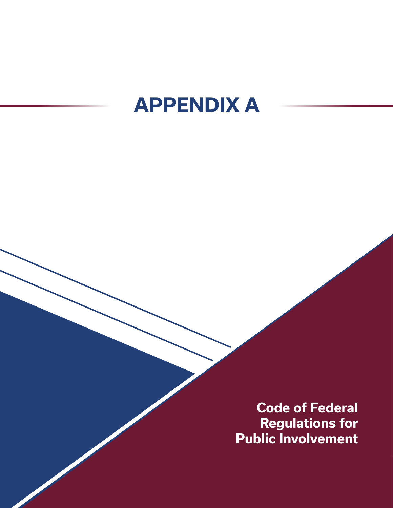## **APPENDIX A**

**Code of Federal Regulations for Public Involvement**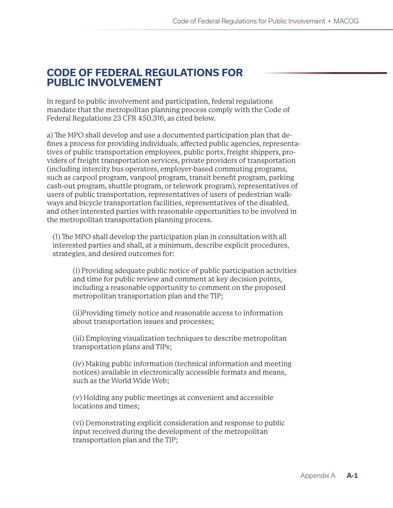## **CODE OF FEDERAL REGULATIONS FOR PUBLIC INVOLVEMENT**

In regard to public involvement and participation, federal regulations mandate that the metropolitan planning process comply with the Code of Federal Regulations 23 CFR 450.316, as cited below.

a) The MPO shall develop and use a documented participation plan that defines a process for providing individuals, affected public agencies, representatives of public transportation employees, public ports, freight shippers, providers of freight transportation services, private providers of transportation (including intercity bus operators, employer-based commuting programs, such as carpool program, vanpool program, transit benefit program, parking cash-out program, shuttle program, or telework program), representatives of users of public transportation, representatives of users of pedestrian walkways and bicycle transportation facilities, representatives of the disabled, and other interested parties with reasonable opportunities to be involved in the metropolitan transportation planning process.

(1) The MPO shall develop the participation plan in consultation with all interested parties and shall, at a minimum, describe explicit procedures, strategies, and desired outcomes for:

(i) Providing adequate public notice of public participation activities and time for public review and comment at key decision points, including a reasonable opportunity to comment on the proposed metropolitan transportation plan and the TIP;

(ii)Providing timely notice and reasonable access to information about transportation issues and processes;

(iii) Employing visualization techniques to describe metropolitan transportation plans and TIPs;

(iv) Making public information (technical information and meeting notices) available in electronically accessible formats and means, such as the World Wide Web;

(v) Holding any public meetings at convenient and accessible locations and times;

(vi) Demonstrating explicit consideration and response to public input received during the development of the metropolitan transportation plan and the TIP;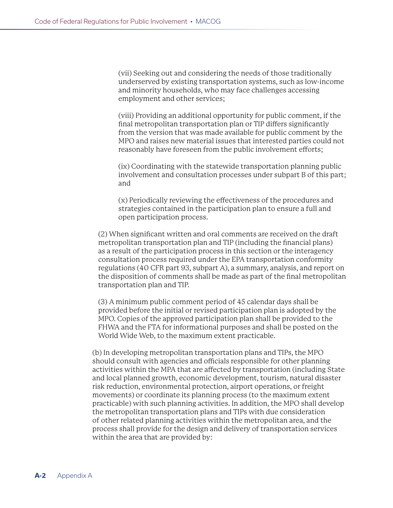(vii) Seeking out and considering the needs of those traditionally underserved by existing transportation systems, such as low-income and minority households, who may face challenges accessing employment and other services;

(viii) Providing an additional opportunity for public comment, if the final metropolitan transportation plan or TIP differs significantly from the version that was made available for public comment by the MPO and raises new material issues that interested parties could not reasonably have foreseen from the public involvement efforts;

(ix) Coordinating with the statewide transportation planning public involvement and consultation processes under subpart B of this part; and

(x) Periodically reviewing the effectiveness of the procedures and strategies contained in the participation plan to ensure a full and open participation process.

(2) When significant written and oral comments are received on the draft metropolitan transportation plan and TIP (including the financial plans) as a result of the participation process in this section or the interagency consultation process required under the EPA transportation conformity regulations (40 CFR part 93, subpart A), a summary, analysis, and report on the disposition of comments shall be made as part of the final metropolitan transportation plan and TIP.

(3) A minimum public comment period of 45 calendar days shall be provided before the initial or revised participation plan is adopted by the MPO. Copies of the approved participation plan shall be provided to the FHWA and the FTA for informational purposes and shall be posted on the World Wide Web, to the maximum extent practicable.

(b) In developing metropolitan transportation plans and TIPs, the MPO should consult with agencies and officials responsible for other planning activities within the MPA that are affected by transportation (including State and local planned growth, economic development, tourism, natural disaster risk reduction, environmental protection, airport operations, or freight movements) or coordinate its planning process (to the maximum extent practicable) with such planning activities. In addition, the MPO shall develop the metropolitan transportation plans and TIPs with due consideration of other related planning activities within the metropolitan area, and the process shall provide for the design and delivery of transportation services within the area that are provided by: